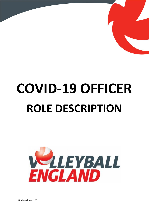

## **COVID-19 OFFICER ROLE DESCRIPTION**